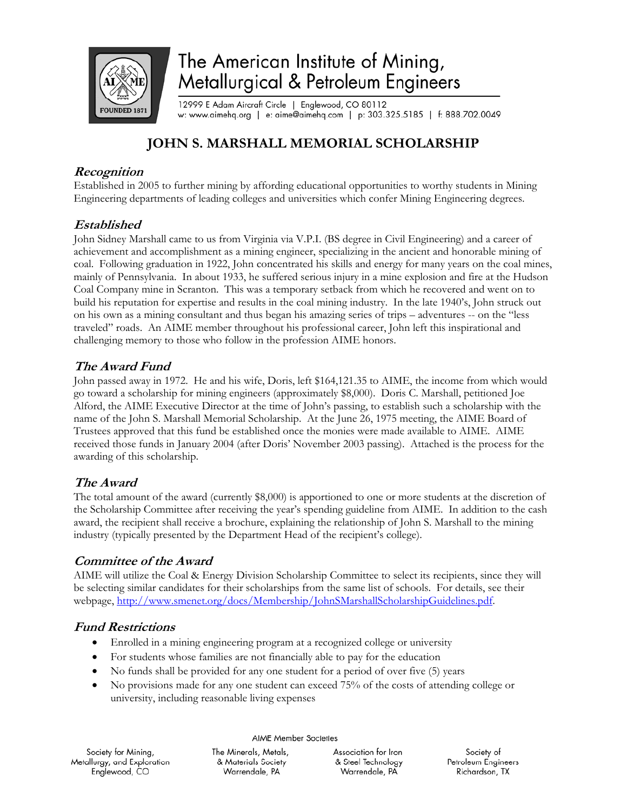

# The American Institute of Mining, Metallurgical & Petroleum Engineers

12999 E Adam Aircraft Circle | Englewood, CO 80112 w: www.aimehq.org | e: aime@aimehq.com | p: 303.325.5185 | f: 888.702.0049

# **JOHN S. MARSHALL MEMORIAL SCHOLARSHIP**

#### **Recognition**

Established in 2005 to further mining by affording educational opportunities to worthy students in Mining Engineering departments of leading colleges and universities which confer Mining Engineering degrees.

#### **Established**

John Sidney Marshall came to us from Virginia via V.P.I. (BS degree in Civil Engineering) and a career of achievement and accomplishment as a mining engineer, specializing in the ancient and honorable mining of coal. Following graduation in 1922, John concentrated his skills and energy for many years on the coal mines, mainly of Pennsylvania. In about 1933, he suffered serious injury in a mine explosion and fire at the Hudson Coal Company mine in Scranton. This was a temporary setback from which he recovered and went on to build his reputation for expertise and results in the coal mining industry. In the late 1940's, John struck out on his own as a mining consultant and thus began his amazing series of trips – adventures -- on the "less traveled" roads. An AIME member throughout his professional career, John left this inspirational and challenging memory to those who follow in the profession AIME honors.

# **The Award Fund**

John passed away in 1972. He and his wife, Doris, left \$164,121.35 to AIME, the income from which would go toward a scholarship for mining engineers (approximately \$8,000). Doris C. Marshall, petitioned Joe Alford, the AIME Executive Director at the time of John's passing, to establish such a scholarship with the name of the John S. Marshall Memorial Scholarship. At the June 26, 1975 meeting, the AIME Board of Trustees approved that this fund be established once the monies were made available to AIME. AIME received those funds in January 2004 (after Doris' November 2003 passing). Attached is the process for the awarding of this scholarship.

# **The Award**

The total amount of the award (currently \$8,000) is apportioned to one or more students at the discretion of the Scholarship Committee after receiving the year's spending guideline from AIME. In addition to the cash award, the recipient shall receive a brochure, explaining the relationship of John S. Marshall to the mining industry (typically presented by the Department Head of the recipient's college).

#### **Committee of the Award**

AIME will utilize the Coal & Energy Division Scholarship Committee to select its recipients, since they will be selecting similar candidates for their scholarships from the same list of schools. For details, see their webpage, http://www.smenet.org/docs/Membership/JohnSMarshallScholarshipGuidelines.pdf.

# **Fund Restrictions**

- Enrolled in a mining engineering program at a recognized college or university
- For students whose families are not financially able to pay for the education
- No funds shall be provided for any one student for a period of over five (5) years
- No provisions made for any one student can exceed 75% of the costs of attending college or university, including reasonable living expenses

Society for Mining, Metallurgy, and Exploration Englewood, CO

AIME Member Societies

The Minerals, Metals, Association for Iron & Materials Society & Steel Technology Warrendale, PA Warrendale, PA

Society of Petroleum Engineers Richardson, TX